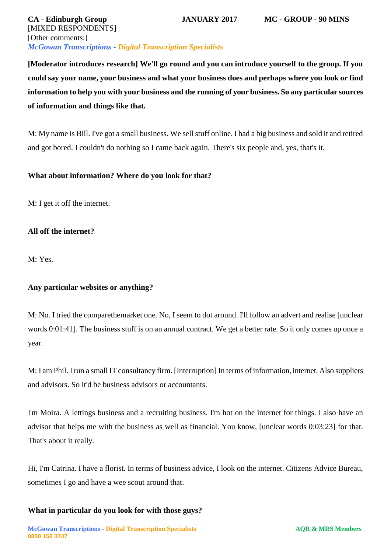| <b>CA</b> - Edinburgh Group                                       | <b>JANUARY 2017</b> | <b>MC - GROUP - 90 MINS</b> |
|-------------------------------------------------------------------|---------------------|-----------------------------|
| [MIXED RESPONDENTS]                                               |                     |                             |
| [Other comments:]                                                 |                     |                             |
| <b>McGowan Transcriptions - Digital Transcription Specialists</b> |                     |                             |

**[Moderator introduces research] We'll go round and you can introduce yourself to the group. If you could say your name, your business and what your business does and perhaps where you look or find information to help you with your business and the running of your business. So any particular sources of information and things like that.** 

M: My name is Bill. I've got a small business. We sell stuff online. I had a big business and sold it and retired and got bored. I couldn't do nothing so I came back again. There's six people and, yes, that's it.

# **What about information? Where do you look for that?**

M: I get it off the internet.

# **All off the internet?**

M: Yes.

# **Any particular websites or anything?**

M: No. I tried the comparethemarket one. No, I seem to dot around. I'll follow an advert and realise [unclear words 0:01:41]. The business stuff is on an annual contract. We get a better rate. So it only comes up once a year.

M: I am Phil. I run a small IT consultancy firm. [Interruption] In terms of information, internet. Also suppliers and advisors. So it'd be business advisors or accountants.

I'm Moira. A lettings business and a recruiting business. I'm hot on the internet for things. I also have an advisor that helps me with the business as well as financial. You know, [unclear words 0:03:23] for that. That's about it really.

Hi, I'm Catrina. I have a florist. In terms of business advice, I look on the internet. Citizens Advice Bureau, sometimes I go and have a wee scout around that.

## **What in particular do you look for with those guys?**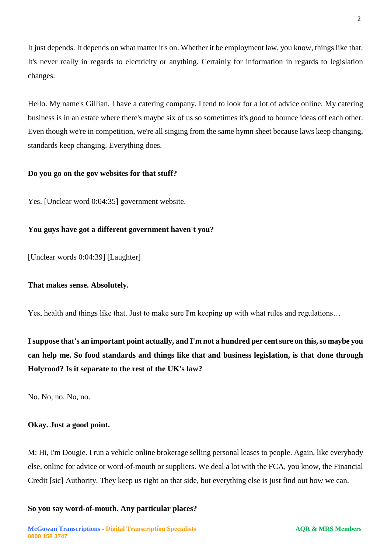It just depends. It depends on what matter it's on. Whether it be employment law, you know, things like that. It's never really in regards to electricity or anything. Certainly for information in regards to legislation changes.

Hello. My name's Gillian. I have a catering company. I tend to look for a lot of advice online. My catering business is in an estate where there's maybe six of us so sometimes it's good to bounce ideas off each other. Even though we're in competition, we're all singing from the same hymn sheet because laws keep changing, standards keep changing. Everything does.

## **Do you go on the gov websites for that stuff?**

Yes. [Unclear word 0:04:35] government website.

## **You guys have got a different government haven't you?**

[Unclear words 0:04:39] [Laughter]

## **That makes sense. Absolutely.**

Yes, health and things like that. Just to make sure I'm keeping up with what rules and regulations…

**I suppose that's an important point actually, and I'm not a hundred per cent sure on this, so maybe you can help me. So food standards and things like that and business legislation, is that done through Holyrood? Is it separate to the rest of the UK's law?** 

No. No, no. No, no.

## **Okay. Just a good point.**

M: Hi, I'm Dougie. I run a vehicle online brokerage selling personal leases to people. Again, like everybody else, online for advice or word-of-mouth or suppliers. We deal a lot with the FCA, you know, the Financial Credit [sic] Authority. They keep us right on that side, but everything else is just find out how we can.

**So you say word-of-mouth. Any particular places?** 

2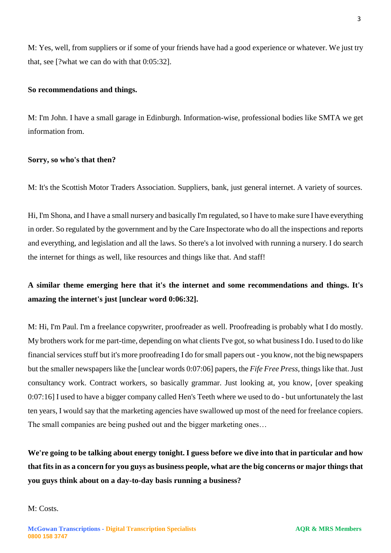M: Yes, well, from suppliers or if some of your friends have had a good experience or whatever. We just try that, see [?what we can do with that 0:05:32].

#### **So recommendations and things.**

M: I'm John. I have a small garage in Edinburgh. Information-wise, professional bodies like SMTA we get information from.

#### **Sorry, so who's that then?**

M: It's the Scottish Motor Traders Association. Suppliers, bank, just general internet. A variety of sources.

Hi, I'm Shona, and I have a small nursery and basically I'm regulated, so I have to make sure I have everything in order. So regulated by the government and by the Care Inspectorate who do all the inspections and reports and everything, and legislation and all the laws. So there's a lot involved with running a nursery. I do search the internet for things as well, like resources and things like that. And staff!

# **A similar theme emerging here that it's the internet and some recommendations and things. It's amazing the internet's just [unclear word 0:06:32].**

M: Hi, I'm Paul. I'm a freelance copywriter, proofreader as well. Proofreading is probably what I do mostly. My brothers work for me part-time, depending on what clients I've got, so what business I do. I used to do like financial services stuff but it's more proofreading I do for small papers out - you know, not the big newspapers but the smaller newspapers like the [unclear words 0:07:06] papers, the *Fife Free Press*, things like that. Just consultancy work. Contract workers, so basically grammar. Just looking at, you know, [over speaking 0:07:16] I used to have a bigger company called Hen's Teeth where we used to do - but unfortunately the last ten years, I would say that the marketing agencies have swallowed up most of the need for freelance copiers. The small companies are being pushed out and the bigger marketing ones…

**We're going to be talking about energy tonight. I guess before we dive into that in particular and how that fits in as a concern for you guys as business people, what are the big concerns or major things that you guys think about on a day-to-day basis running a business?** 

M: Costs.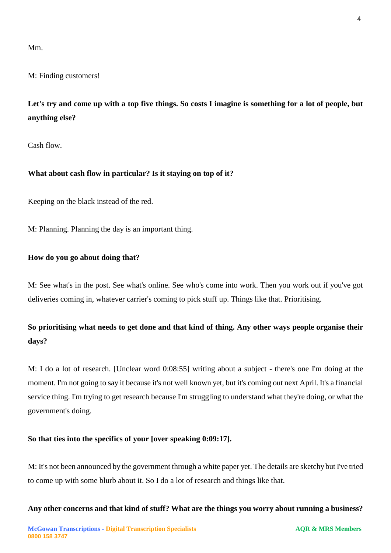Mm.

M: Finding customers!

**Let's try and come up with a top five things. So costs I imagine is something for a lot of people, but anything else?** 

Cash flow.

# **What about cash flow in particular? Is it staying on top of it?**

Keeping on the black instead of the red.

M: Planning. Planning the day is an important thing.

## **How do you go about doing that?**

M: See what's in the post. See what's online. See who's come into work. Then you work out if you've got deliveries coming in, whatever carrier's coming to pick stuff up. Things like that. Prioritising.

# **So prioritising what needs to get done and that kind of thing. Any other ways people organise their days?**

M: I do a lot of research. [Unclear word 0:08:55] writing about a subject - there's one I'm doing at the moment. I'm not going to say it because it's not well known yet, but it's coming out next April. It's a financial service thing. I'm trying to get research because I'm struggling to understand what they're doing, or what the government's doing.

# **So that ties into the specifics of your [over speaking 0:09:17].**

M: It's not been announced by the government through a white paper yet. The details are sketchy but I've tried to come up with some blurb about it. So I do a lot of research and things like that.

**Any other concerns and that kind of stuff? What are the things you worry about running a business?**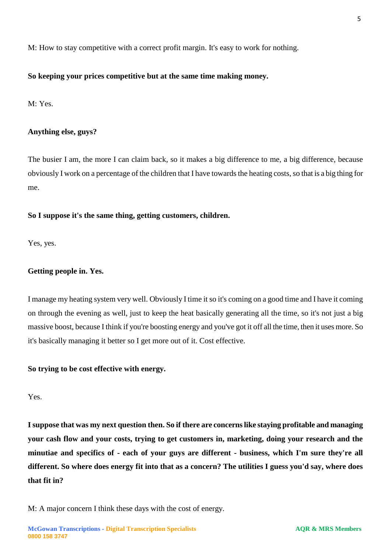M: How to stay competitive with a correct profit margin. It's easy to work for nothing.

## **So keeping your prices competitive but at the same time making money.**

M: Yes.

## **Anything else, guys?**

The busier I am, the more I can claim back, so it makes a big difference to me, a big difference, because obviously I work on a percentage of the children that I have towards the heating costs, so that is a big thing for me.

## **So I suppose it's the same thing, getting customers, children.**

Yes, yes.

## **Getting people in. Yes.**

I manage my heating system very well. Obviously I time it so it's coming on a good time and I have it coming on through the evening as well, just to keep the heat basically generating all the time, so it's not just a big massive boost, because I think if you're boosting energy and you've got it off all the time, then it uses more. So it's basically managing it better so I get more out of it. Cost effective.

## **So trying to be cost effective with energy.**

Yes.

**I suppose that was my next question then. So if there are concerns like staying profitable and managing your cash flow and your costs, trying to get customers in, marketing, doing your research and the minutiae and specifics of - each of your guys are different - business, which I'm sure they're all different. So where does energy fit into that as a concern? The utilities I guess you'd say, where does that fit in?** 

M: A major concern I think these days with the cost of energy.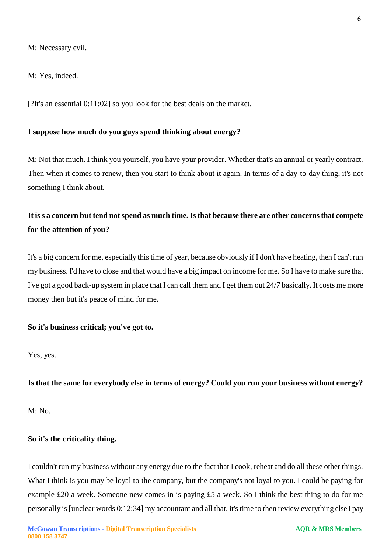M: Necessary evil.

M: Yes, indeed.

[?It's an essential 0:11:02] so you look for the best deals on the market.

#### **I suppose how much do you guys spend thinking about energy?**

M: Not that much. I think you yourself, you have your provider. Whether that's an annual or yearly contract. Then when it comes to renew, then you start to think about it again. In terms of a day-to-day thing, it's not something I think about.

# **It is s a concern but tend not spend as much time. Is that because there are other concerns that compete for the attention of you?**

It's a big concern for me, especially this time of year, because obviously if I don't have heating, then I can't run my business. I'd have to close and that would have a big impact on income for me. So I have to make sure that I've got a good back-up system in place that I can call them and I get them out 24/7 basically. It costs me more money then but it's peace of mind for me.

#### **So it's business critical; you've got to.**

Yes, yes.

**Is that the same for everybody else in terms of energy? Could you run your business without energy?** 

M: No.

#### **So it's the criticality thing.**

I couldn't run my business without any energy due to the fact that I cook, reheat and do all these other things. What I think is you may be loyal to the company, but the company's not loyal to you. I could be paying for example £20 a week. Someone new comes in is paying £5 a week. So I think the best thing to do for me personally is [unclear words 0:12:34] my accountant and all that, it's time to then review everything else I pay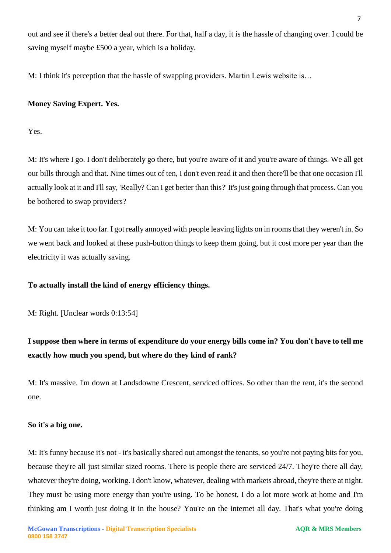out and see if there's a better deal out there. For that, half a day, it is the hassle of changing over. I could be saving myself maybe £500 a year, which is a holiday.

M: I think it's perception that the hassle of swapping providers. Martin Lewis website is…

# **Money Saving Expert. Yes.**

Yes.

M: It's where I go. I don't deliberately go there, but you're aware of it and you're aware of things. We all get our bills through and that. Nine times out of ten, I don't even read it and then there'll be that one occasion I'll actually look at it and I'll say, 'Really? Can I get better than this?' It's just going through that process. Can you be bothered to swap providers?

M: You can take it too far. I got really annoyed with people leaving lights on in rooms that they weren't in. So we went back and looked at these push-button things to keep them going, but it cost more per year than the electricity it was actually saving.

# **To actually install the kind of energy efficiency things.**

M: Right. [Unclear words 0:13:54]

# **I suppose then where in terms of expenditure do your energy bills come in? You don't have to tell me exactly how much you spend, but where do they kind of rank?**

M: It's massive. I'm down at Landsdowne Crescent, serviced offices. So other than the rent, it's the second one.

# **So it's a big one.**

M: It's funny because it's not - it's basically shared out amongst the tenants, so you're not paying bits for you, because they're all just similar sized rooms. There is people there are serviced 24/7. They're there all day, whatever they're doing, working. I don't know, whatever, dealing with markets abroad, they're there at night. They must be using more energy than you're using. To be honest, I do a lot more work at home and I'm thinking am I worth just doing it in the house? You're on the internet all day. That's what you're doing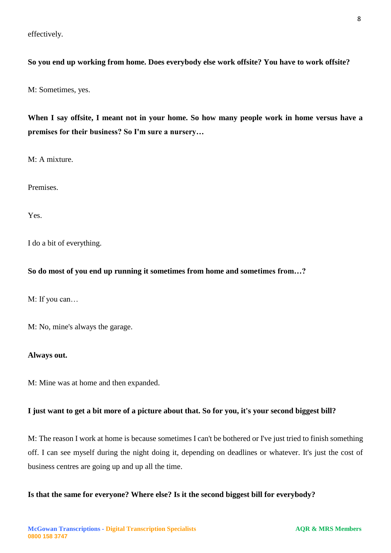effectively.

## **So you end up working from home. Does everybody else work offsite? You have to work offsite?**

M: Sometimes, yes.

**When I say offsite, I meant not in your home. So how many people work in home versus have a premises for their business? So I'm sure a nursery…**

M: A mixture.

Premises.

Yes.

I do a bit of everything.

#### **So do most of you end up running it sometimes from home and sometimes from…?**

M: If you can…

M: No, mine's always the garage.

#### **Always out.**

M: Mine was at home and then expanded.

#### **I just want to get a bit more of a picture about that. So for you, it's your second biggest bill?**

M: The reason I work at home is because sometimes I can't be bothered or I've just tried to finish something off. I can see myself during the night doing it, depending on deadlines or whatever. It's just the cost of business centres are going up and up all the time.

## **Is that the same for everyone? Where else? Is it the second biggest bill for everybody?**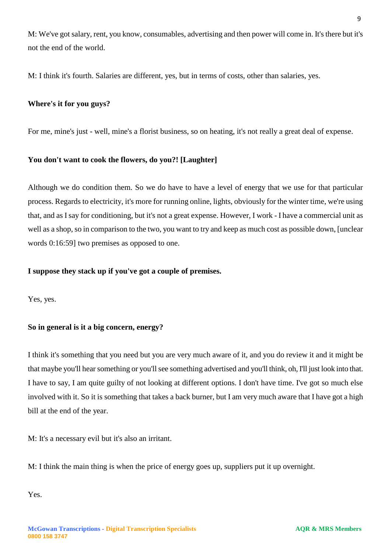M: We've got salary, rent, you know, consumables, advertising and then power will come in. It's there but it's not the end of the world.

M: I think it's fourth. Salaries are different, yes, but in terms of costs, other than salaries, yes.

## **Where's it for you guys?**

For me, mine's just - well, mine's a florist business, so on heating, it's not really a great deal of expense.

## **You don't want to cook the flowers, do you?! [Laughter]**

Although we do condition them. So we do have to have a level of energy that we use for that particular process. Regards to electricity, it's more for running online, lights, obviously for the winter time, we're using that, and as I say for conditioning, but it's not a great expense. However, I work - I have a commercial unit as well as a shop, so in comparison to the two, you want to try and keep as much cost as possible down, [unclear words 0:16:59] two premises as opposed to one.

## **I suppose they stack up if you've got a couple of premises.**

Yes, yes.

## **So in general is it a big concern, energy?**

I think it's something that you need but you are very much aware of it, and you do review it and it might be that maybe you'll hear something or you'll see something advertised and you'll think, oh, I'll just look into that. I have to say, I am quite guilty of not looking at different options. I don't have time. I've got so much else involved with it. So it is something that takes a back burner, but I am very much aware that I have got a high bill at the end of the year.

M: It's a necessary evil but it's also an irritant.

M: I think the main thing is when the price of energy goes up, suppliers put it up overnight.

Yes.

**0800 158 3747**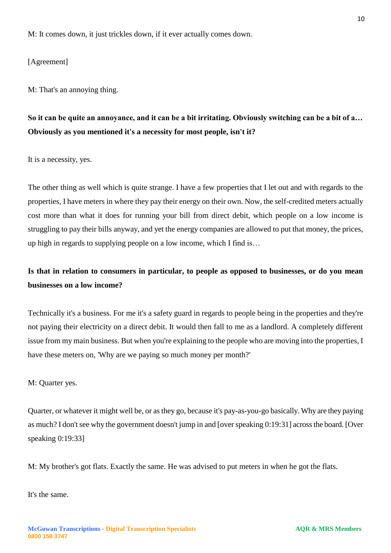M: It comes down, it just trickles down, if it ever actually comes down.

[Agreement]

M: That's an annoying thing.

# **So it can be quite an annoyance, and it can be a bit irritating. Obviously switching can be a bit of a… Obviously as you mentioned it's a necessity for most people, isn't it?**

It is a necessity, yes.

The other thing as well which is quite strange. I have a few properties that I let out and with regards to the properties, I have meters in where they pay their energy on their own. Now, the self-credited meters actually cost more than what it does for running your bill from direct debit, which people on a low income is struggling to pay their bills anyway, and yet the energy companies are allowed to put that money, the prices, up high in regards to supplying people on a low income, which I find is…

# **Is that in relation to consumers in particular, to people as opposed to businesses, or do you mean businesses on a low income?**

Technically it's a business. For me it's a safety guard in regards to people being in the properties and they're not paying their electricity on a direct debit. It would then fall to me as a landlord. A completely different issue from my main business. But when you're explaining to the people who are moving into the properties, I have these meters on, 'Why are we paying so much money per month?'

M: Quarter yes.

Quarter, or whatever it might well be, or as they go, because it's pay-as-you-go basically. Why are they paying as much? I don't see why the government doesn't jump in and [over speaking 0:19:31] across the board. [Over speaking 0:19:33]

M: My brother's got flats. Exactly the same. He was advised to put meters in when he got the flats.

It's the same.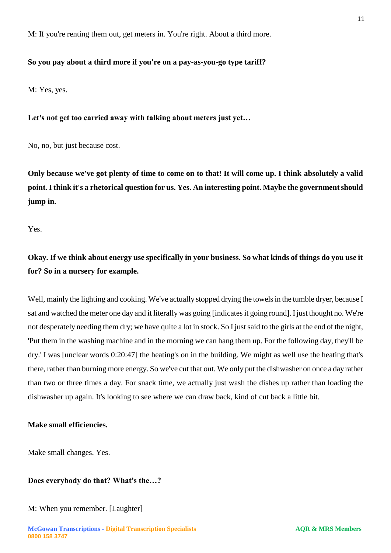M: If you're renting them out, get meters in. You're right. About a third more.

## **So you pay about a third more if you're on a pay-as-you-go type tariff?**

M: Yes, yes.

#### **Let's not get too carried away with talking about meters just yet…**

No, no, but just because cost.

**Only because we've got plenty of time to come on to that! It will come up. I think absolutely a valid point. I think it's a rhetorical question for us. Yes. An interesting point. Maybe the government should jump in.** 

Yes.

# **Okay. If we think about energy use specifically in your business. So what kinds of things do you use it for? So in a nursery for example.**

Well, mainly the lighting and cooking. We've actually stopped drying the towels in the tumble dryer, because I sat and watched the meter one day and it literally was going [indicates it going round]. I just thought no. We're not desperately needing them dry; we have quite a lot in stock. So I just said to the girls at the end of the night, 'Put them in the washing machine and in the morning we can hang them up. For the following day, they'll be dry.' I was [unclear words 0:20:47] the heating's on in the building. We might as well use the heating that's there, rather than burning more energy. So we've cut that out. We only put the dishwasher on once a day rather than two or three times a day. For snack time, we actually just wash the dishes up rather than loading the dishwasher up again. It's looking to see where we can draw back, kind of cut back a little bit.

### **Make small efficiencies.**

Make small changes. Yes.

#### **Does everybody do that? What's the…?**

#### M: When you remember. [Laughter]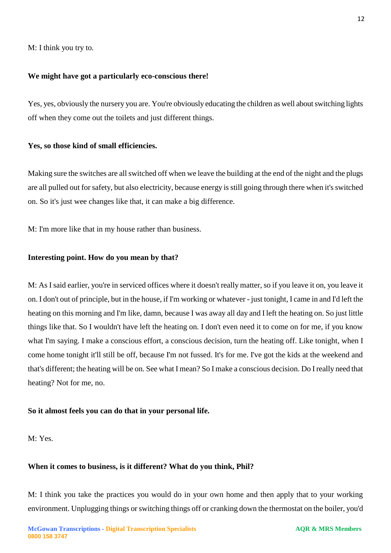M: I think you try to.

### **We might have got a particularly eco-conscious there!**

Yes, yes, obviously the nursery you are. You're obviously educating the children as well about switching lights off when they come out the toilets and just different things.

#### **Yes, so those kind of small efficiencies.**

Making sure the switches are all switched off when we leave the building at the end of the night and the plugs are all pulled out for safety, but also electricity, because energy is still going through there when it's switched on. So it's just wee changes like that, it can make a big difference.

M: I'm more like that in my house rather than business.

## **Interesting point. How do you mean by that?**

M: As I said earlier, you're in serviced offices where it doesn't really matter, so if you leave it on, you leave it on. I don't out of principle, but in the house, if I'm working or whatever - just tonight, I came in and I'd left the heating on this morning and I'm like, damn, because I was away all day and I left the heating on. So just little things like that. So I wouldn't have left the heating on. I don't even need it to come on for me, if you know what I'm saying. I make a conscious effort, a conscious decision, turn the heating off. Like tonight, when I come home tonight it'll still be off, because I'm not fussed. It's for me. I've got the kids at the weekend and that's different; the heating will be on. See what I mean? So I make a conscious decision. Do I really need that heating? Not for me, no.

#### **So it almost feels you can do that in your personal life.**

M: Yes.

## **When it comes to business, is it different? What do you think, Phil?**

M: I think you take the practices you would do in your own home and then apply that to your working environment. Unplugging things or switching things off or cranking down the thermostat on the boiler, you'd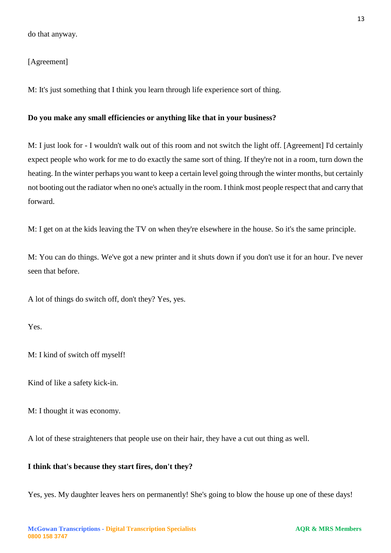## [Agreement]

M: It's just something that I think you learn through life experience sort of thing.

#### **Do you make any small efficiencies or anything like that in your business?**

M: I just look for - I wouldn't walk out of this room and not switch the light off. [Agreement] I'd certainly expect people who work for me to do exactly the same sort of thing. If they're not in a room, turn down the heating. In the winter perhaps you want to keep a certain level going through the winter months, but certainly not booting out the radiator when no one's actually in the room. I think most people respect that and carry that forward.

M: I get on at the kids leaving the TV on when they're elsewhere in the house. So it's the same principle.

M: You can do things. We've got a new printer and it shuts down if you don't use it for an hour. I've never seen that before.

A lot of things do switch off, don't they? Yes, yes.

Yes.

M: I kind of switch off myself!

Kind of like a safety kick-in.

M: I thought it was economy.

A lot of these straighteners that people use on their hair, they have a cut out thing as well.

#### **I think that's because they start fires, don't they?**

Yes, yes. My daughter leaves hers on permanently! She's going to blow the house up one of these days!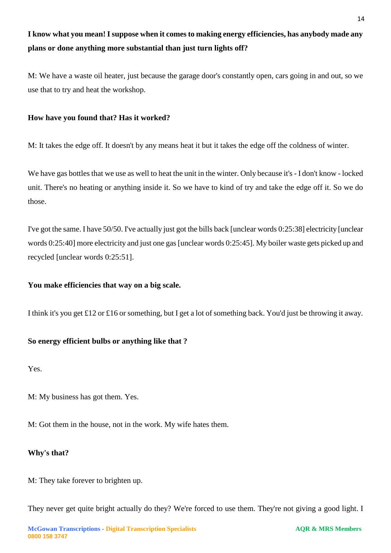# **I know what you mean! I suppose when it comes to making energy efficiencies, has anybody made any plans or done anything more substantial than just turn lights off?**

M: We have a waste oil heater, just because the garage door's constantly open, cars going in and out, so we use that to try and heat the workshop.

## **How have you found that? Has it worked?**

M: It takes the edge off. It doesn't by any means heat it but it takes the edge off the coldness of winter.

We have gas bottles that we use as well to heat the unit in the winter. Only because it's - I don't know - locked unit. There's no heating or anything inside it. So we have to kind of try and take the edge off it. So we do those.

I've got the same. I have 50/50. I've actually just got the bills back [unclear words 0:25:38] electricity [unclear words 0:25:40] more electricity and just one gas [unclear words 0:25:45]. My boiler waste gets picked up and recycled [unclear words 0:25:51].

## **You make efficiencies that way on a big scale.**

I think it's you get £12 or £16 or something, but I get a lot of something back. You'd just be throwing it away.

# **So energy efficient bulbs or anything like that ?**

Yes.

M: My business has got them. Yes.

M: Got them in the house, not in the work. My wife hates them.

# **Why's that?**

M: They take forever to brighten up.

They never get quite bright actually do they? We're forced to use them. They're not giving a good light. I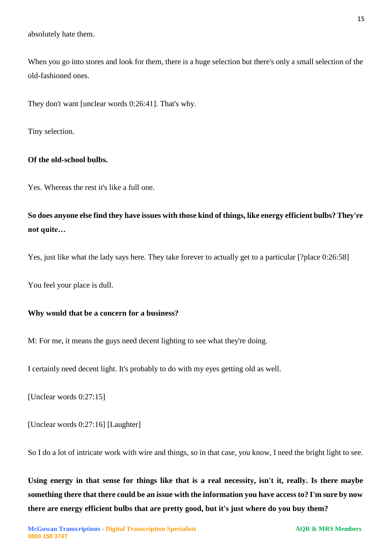absolutely hate them.

When you go into stores and look for them, there is a huge selection but there's only a small selection of the old-fashioned ones.

They don't want [unclear words 0:26:41]. That's why.

Tiny selection.

## **Of the old-school bulbs.**

Yes. Whereas the rest it's like a full one.

**So does anyone else find they have issues with those kind of things, like energy efficient bulbs? They're not quite…**

Yes, just like what the lady says here. They take forever to actually get to a particular [?place 0:26:58]

You feel your place is dull.

#### **Why would that be a concern for a business?**

M: For me, it means the guys need decent lighting to see what they're doing.

I certainly need decent light. It's probably to do with my eyes getting old as well.

[Unclear words 0:27:15]

[Unclear words 0:27:16] [Laughter]

So I do a lot of intricate work with wire and things, so in that case, you know, I need the bright light to see.

**Using energy in that sense for things like that is a real necessity, isn't it, really. Is there maybe something there that there could be an issue with the information you have access to? I'm sure by now there are energy efficient bulbs that are pretty good, but it's just where do you buy them?**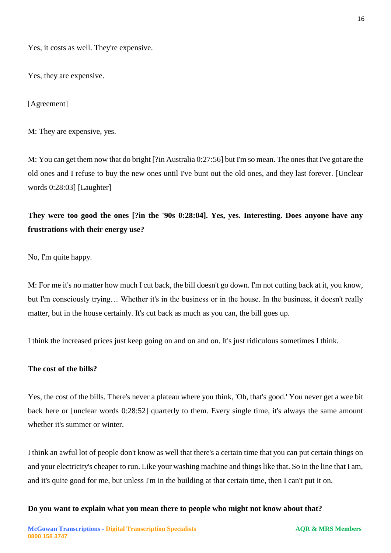Yes, it costs as well. They're expensive.

Yes, they are expensive.

[Agreement]

M: They are expensive, yes.

M: You can get them now that do bright [?in Australia 0:27:56] but I'm so mean. The ones that I've got are the old ones and I refuse to buy the new ones until I've bunt out the old ones, and they last forever. [Unclear words 0:28:03] [Laughter]

**They were too good the ones [?in the '90s 0:28:04]. Yes, yes. Interesting. Does anyone have any frustrations with their energy use?** 

No, I'm quite happy.

M: For me it's no matter how much I cut back, the bill doesn't go down. I'm not cutting back at it, you know, but I'm consciously trying… Whether it's in the business or in the house. In the business, it doesn't really matter, but in the house certainly. It's cut back as much as you can, the bill goes up.

I think the increased prices just keep going on and on and on. It's just ridiculous sometimes I think.

#### **The cost of the bills?**

Yes, the cost of the bills. There's never a plateau where you think, 'Oh, that's good.' You never get a wee bit back here or [unclear words 0:28:52] quarterly to them. Every single time, it's always the same amount whether it's summer or winter.

I think an awful lot of people don't know as well that there's a certain time that you can put certain things on and your electricity's cheaper to run. Like your washing machine and things like that. So in the line that I am, and it's quite good for me, but unless I'm in the building at that certain time, then I can't put it on.

**Do you want to explain what you mean there to people who might not know about that?**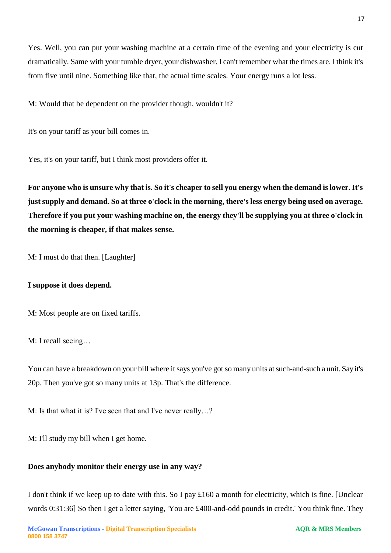dramatically. Same with your tumble dryer, your dishwasher. I can't remember what the times are. I think it's from five until nine. Something like that, the actual time scales. Your energy runs a lot less.

Yes. Well, you can put your washing machine at a certain time of the evening and your electricity is cut

M: Would that be dependent on the provider though, wouldn't it?

It's on your tariff as your bill comes in.

Yes, it's on your tariff, but I think most providers offer it.

**For anyone who is unsure why that is. So it's cheaper to sell you energy when the demand is lower. It's just supply and demand. So at three o'clock in the morning, there's less energy being used on average. Therefore if you put your washing machine on, the energy they'll be supplying you at three o'clock in the morning is cheaper, if that makes sense.** 

M: I must do that then. [Laughter]

# **I suppose it does depend.**

M: Most people are on fixed tariffs.

M: I recall seeing…

You can have a breakdown on your bill where it says you've got so many units at such-and-such a unit. Say it's 20p. Then you've got so many units at 13p. That's the difference.

M: Is that what it is? I've seen that and I've never really…?

M: I'll study my bill when I get home.

# **Does anybody monitor their energy use in any way?**

I don't think if we keep up to date with this. So I pay £160 a month for electricity, which is fine. [Unclear words 0:31:36] So then I get a letter saying, 'You are £400-and-odd pounds in credit.' You think fine. They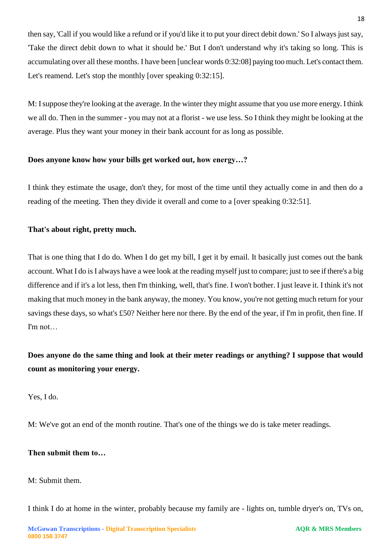then say, 'Call if you would like a refund or if you'd like it to put your direct debit down.' So I always just say, 'Take the direct debit down to what it should be.' But I don't understand why it's taking so long. This is accumulating over all these months. I have been [unclear words 0:32:08] paying too much. Let's contact them. Let's reamend. Let's stop the monthly [over speaking 0:32:15].

M: I suppose they're looking at the average. In the winter they might assume that you use more energy. I think we all do. Then in the summer - you may not at a florist - we use less. So I think they might be looking at the average. Plus they want your money in their bank account for as long as possible.

## **Does anyone know how your bills get worked out, how energy…?**

I think they estimate the usage, don't they, for most of the time until they actually come in and then do a reading of the meeting. Then they divide it overall and come to a [over speaking 0:32:51].

## **That's about right, pretty much.**

That is one thing that I do do. When I do get my bill, I get it by email. It basically just comes out the bank account. What I do is I always have a wee look at the reading myself just to compare; just to see if there's a big difference and if it's a lot less, then I'm thinking, well, that's fine. I won't bother. I just leave it. I think it's not making that much money in the bank anyway, the money. You know, you're not getting much return for your savings these days, so what's £50? Neither here nor there. By the end of the year, if I'm in profit, then fine. If I'm not…

# **Does anyone do the same thing and look at their meter readings or anything? I suppose that would count as monitoring your energy.**

Yes, I do.

M: We've got an end of the month routine. That's one of the things we do is take meter readings.

# **Then submit them to…**

M: Submit them.

I think I do at home in the winter, probably because my family are - lights on, tumble dryer's on, TVs on,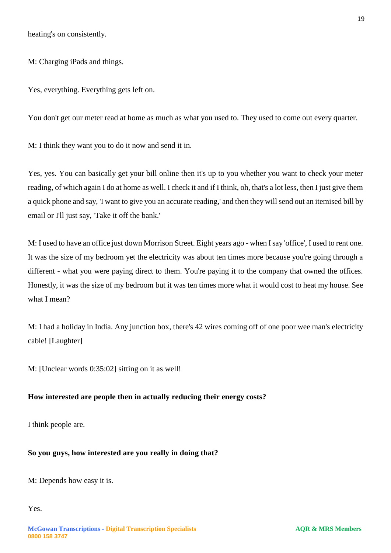heating's on consistently.

M: Charging iPads and things.

Yes, everything. Everything gets left on.

You don't get our meter read at home as much as what you used to. They used to come out every quarter.

M: I think they want you to do it now and send it in.

Yes, yes. You can basically get your bill online then it's up to you whether you want to check your meter reading, of which again I do at home as well. I check it and if I think, oh, that's a lot less, then I just give them a quick phone and say, 'I want to give you an accurate reading,' and then they will send out an itemised bill by email or I'll just say, 'Take it off the bank.'

M: I used to have an office just down Morrison Street. Eight years ago - when I say 'office', I used to rent one. It was the size of my bedroom yet the electricity was about ten times more because you're going through a different - what you were paying direct to them. You're paying it to the company that owned the offices. Honestly, it was the size of my bedroom but it was ten times more what it would cost to heat my house. See what I mean?

M: I had a holiday in India. Any junction box, there's 42 wires coming off of one poor wee man's electricity cable! [Laughter]

M: [Unclear words 0:35:02] sitting on it as well!

#### **How interested are people then in actually reducing their energy costs?**

I think people are.

## **So you guys, how interested are you really in doing that?**

M: Depends how easy it is.

Yes.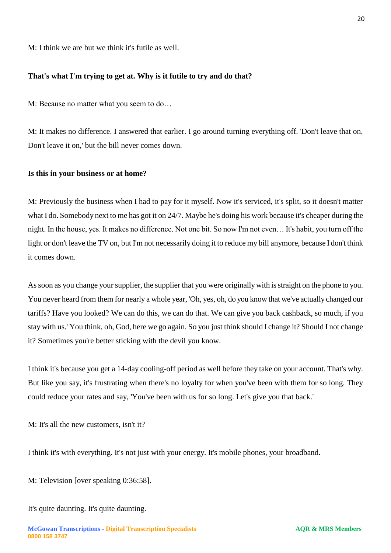M: I think we are but we think it's futile as well.

#### **That's what I'm trying to get at. Why is it futile to try and do that?**

M: Because no matter what you seem to do…

M: It makes no difference. I answered that earlier. I go around turning everything off. 'Don't leave that on. Don't leave it on,' but the bill never comes down.

#### **Is this in your business or at home?**

M: Previously the business when I had to pay for it myself. Now it's serviced, it's split, so it doesn't matter what I do. Somebody next to me has got it on 24/7. Maybe he's doing his work because it's cheaper during the night. In the house, yes. It makes no difference. Not one bit. So now I'm not even… It's habit, you turn off the light or don't leave the TV on, but I'm not necessarily doing it to reduce my bill anymore, because I don't think it comes down.

As soon as you change your supplier, the supplier that you were originally with is straight on the phone to you. You never heard from them for nearly a whole year, 'Oh, yes, oh, do you know that we've actually changed our tariffs? Have you looked? We can do this, we can do that. We can give you back cashback, so much, if you stay with us.' You think, oh, God, here we go again. So you just think should I change it? Should I not change it? Sometimes you're better sticking with the devil you know.

I think it's because you get a 14-day cooling-off period as well before they take on your account. That's why. But like you say, it's frustrating when there's no loyalty for when you've been with them for so long. They could reduce your rates and say, 'You've been with us for so long. Let's give you that back.'

M: It's all the new customers, isn't it?

I think it's with everything. It's not just with your energy. It's mobile phones, your broadband.

M: Television [over speaking 0:36:58].

It's quite daunting. It's quite daunting.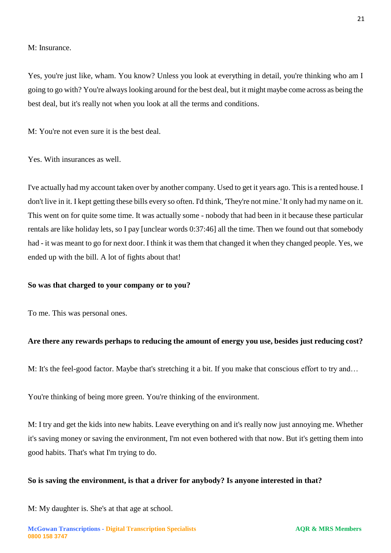M: Insurance.

Yes, you're just like, wham. You know? Unless you look at everything in detail, you're thinking who am I going to go with? You're always looking around for the best deal, but it might maybe come across as being the best deal, but it's really not when you look at all the terms and conditions.

M: You're not even sure it is the best deal.

Yes. With insurances as well.

I've actually had my account taken over by another company. Used to get it years ago. This is a rented house. I don't live in it. I kept getting these bills every so often. I'd think, 'They're not mine.' It only had my name on it. This went on for quite some time. It was actually some - nobody that had been in it because these particular rentals are like holiday lets, so I pay [unclear words 0:37:46] all the time. Then we found out that somebody had - it was meant to go for next door. I think it was them that changed it when they changed people. Yes, we ended up with the bill. A lot of fights about that!

#### **So was that charged to your company or to you?**

To me. This was personal ones.

#### **Are there any rewards perhaps to reducing the amount of energy you use, besides just reducing cost?**

M: It's the feel-good factor. Maybe that's stretching it a bit. If you make that conscious effort to try and…

You're thinking of being more green. You're thinking of the environment.

M: I try and get the kids into new habits. Leave everything on and it's really now just annoying me. Whether it's saving money or saving the environment, I'm not even bothered with that now. But it's getting them into good habits. That's what I'm trying to do.

#### **So is saving the environment, is that a driver for anybody? Is anyone interested in that?**

M: My daughter is. She's at that age at school.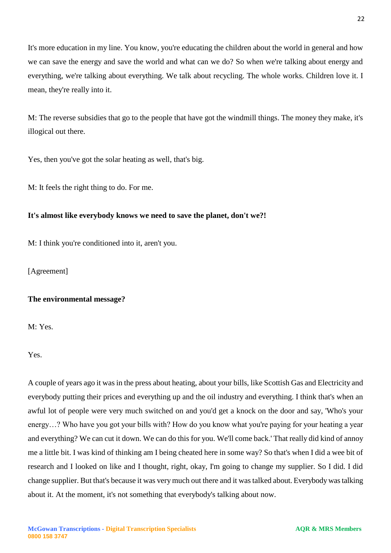It's more education in my line. You know, you're educating the children about the world in general and how we can save the energy and save the world and what can we do? So when we're talking about energy and everything, we're talking about everything. We talk about recycling. The whole works. Children love it. I mean, they're really into it.

M: The reverse subsidies that go to the people that have got the windmill things. The money they make, it's illogical out there.

Yes, then you've got the solar heating as well, that's big.

M: It feels the right thing to do. For me.

## **It's almost like everybody knows we need to save the planet, don't we?!**

M: I think you're conditioned into it, aren't you.

[Agreement]

## **The environmental message?**

M: Yes.

Yes.

A couple of years ago it was in the press about heating, about your bills, like Scottish Gas and Electricity and everybody putting their prices and everything up and the oil industry and everything. I think that's when an awful lot of people were very much switched on and you'd get a knock on the door and say, 'Who's your energy…? Who have you got your bills with? How do you know what you're paying for your heating a year and everything? We can cut it down. We can do this for you. We'll come back.' That really did kind of annoy me a little bit. I was kind of thinking am I being cheated here in some way? So that's when I did a wee bit of research and I looked on like and I thought, right, okay, I'm going to change my supplier. So I did. I did change supplier. But that's because it was very much out there and it was talked about. Everybody was talking about it. At the moment, it's not something that everybody's talking about now.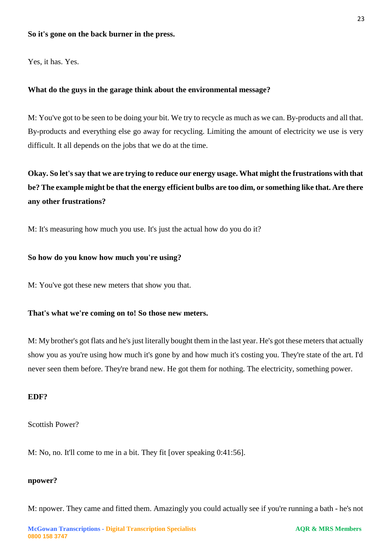#### **So it's gone on the back burner in the press.**

Yes, it has. Yes.

#### **What do the guys in the garage think about the environmental message?**

M: You've got to be seen to be doing your bit. We try to recycle as much as we can. By-products and all that. By-products and everything else go away for recycling. Limiting the amount of electricity we use is very difficult. It all depends on the jobs that we do at the time.

**Okay. So let's say that we are trying to reduce our energy usage. What might the frustrations with that be? The example might be that the energy efficient bulbs are too dim, or something like that. Are there any other frustrations?** 

M: It's measuring how much you use. It's just the actual how do you do it?

#### **So how do you know how much you're using?**

M: You've got these new meters that show you that.

## **That's what we're coming on to! So those new meters.**

M: My brother's got flats and he's just literally bought them in the last year. He's got these meters that actually show you as you're using how much it's gone by and how much it's costing you. They're state of the art. I'd never seen them before. They're brand new. He got them for nothing. The electricity, something power.

#### **EDF?**

Scottish Power?

M: No, no. It'll come to me in a bit. They fit [over speaking 0:41:56].

#### **npower?**

M: npower. They came and fitted them. Amazingly you could actually see if you're running a bath - he's not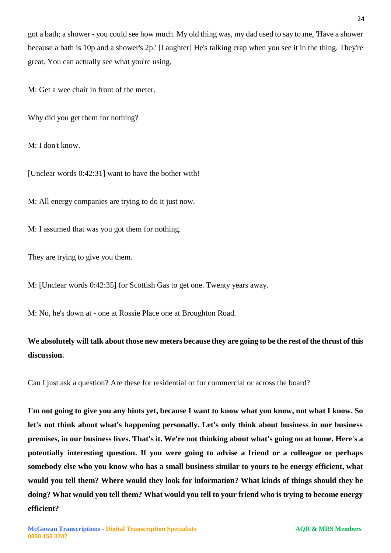got a bath; a shower - you could see how much. My old thing was, my dad used to say to me, 'Have a shower because a bath is 10p and a shower's 2p.' [Laughter] He's talking crap when you see it in the thing. They're great. You can actually see what you're using.

M: Get a wee chair in front of the meter.

Why did you get them for nothing?

M: I don't know.

[Unclear words 0:42:31] want to have the bother with!

M: All energy companies are trying to do it just now.

M: I assumed that was you got them for nothing.

They are trying to give you them.

M: [Unclear words 0:42:35] for Scottish Gas to get one. Twenty years away.

M: No, he's down at - one at Rossie Place one at Broughton Road.

# **We absolutely will talk about those new meters because they are going to be the rest of the thrust of this discussion.**

Can I just ask a question? Are these for residential or for commercial or across the board?

**I'm not going to give you any hints yet, because I want to know what you know, not what I know. So let's not think about what's happening personally. Let's only think about business in our business premises, in our business lives. That's it. We're not thinking about what's going on at home. Here's a potentially interesting question. If you were going to advise a friend or a colleague or perhaps somebody else who you know who has a small business similar to yours to be energy efficient, what would you tell them? Where would they look for information? What kinds of things should they be doing? What would you tell them? What would you tell to your friend who is trying to become energy efficient?**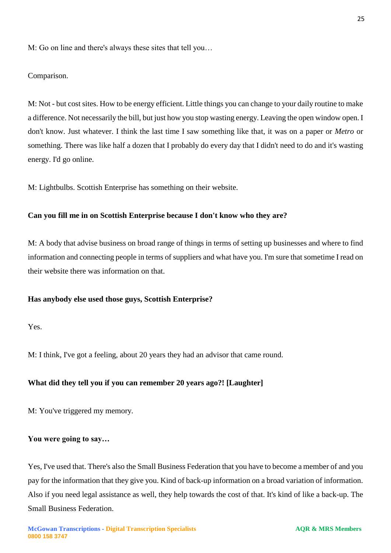M: Go on line and there's always these sites that tell you…

Comparison.

M: Not - but cost sites. How to be energy efficient. Little things you can change to your daily routine to make a difference. Not necessarily the bill, but just how you stop wasting energy. Leaving the open window open. I don't know. Just whatever. I think the last time I saw something like that, it was on a paper or *Metro* or something. There was like half a dozen that I probably do every day that I didn't need to do and it's wasting energy. I'd go online.

M: Lightbulbs. Scottish Enterprise has something on their website.

#### **Can you fill me in on Scottish Enterprise because I don't know who they are?**

M: A body that advise business on broad range of things in terms of setting up businesses and where to find information and connecting people in terms of suppliers and what have you. I'm sure that sometime I read on their website there was information on that.

#### **Has anybody else used those guys, Scottish Enterprise?**

Yes.

M: I think, I've got a feeling, about 20 years they had an advisor that came round.

#### **What did they tell you if you can remember 20 years ago?! [Laughter]**

M: You've triggered my memory.

#### **You were going to say…**

Yes, I've used that. There's also the Small Business Federation that you have to become a member of and you pay for the information that they give you. Kind of back-up information on a broad variation of information. Also if you need legal assistance as well, they help towards the cost of that. It's kind of like a back-up. The Small Business Federation.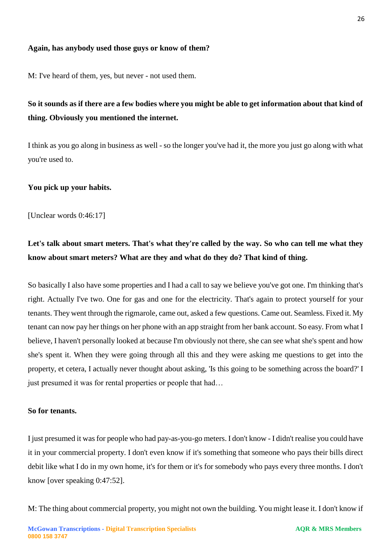## **Again, has anybody used those guys or know of them?**

M: I've heard of them, yes, but never - not used them.

# **So it sounds as if there are a few bodies where you might be able to get information about that kind of thing. Obviously you mentioned the internet.**

I think as you go along in business as well - so the longer you've had it, the more you just go along with what you're used to.

#### **You pick up your habits.**

[Unclear words 0:46:17]

# Let's talk about smart meters. That's what they're called by the way. So who can tell me what they **know about smart meters? What are they and what do they do? That kind of thing.**

So basically I also have some properties and I had a call to say we believe you've got one. I'm thinking that's right. Actually I've two. One for gas and one for the electricity. That's again to protect yourself for your tenants. They went through the rigmarole, came out, asked a few questions. Came out. Seamless. Fixed it. My tenant can now pay her things on her phone with an app straight from her bank account. So easy. From what I believe, I haven't personally looked at because I'm obviously not there, she can see what she's spent and how she's spent it. When they were going through all this and they were asking me questions to get into the property, et cetera, I actually never thought about asking, 'Is this going to be something across the board?' I just presumed it was for rental properties or people that had...

#### **So for tenants.**

I just presumed it was for people who had pay-as-you-go meters. I don't know - I didn't realise you could have it in your commercial property. I don't even know if it's something that someone who pays their bills direct debit like what I do in my own home, it's for them or it's for somebody who pays every three months. I don't know [over speaking 0:47:52].

M: The thing about commercial property, you might not own the building. You might lease it. I don't know if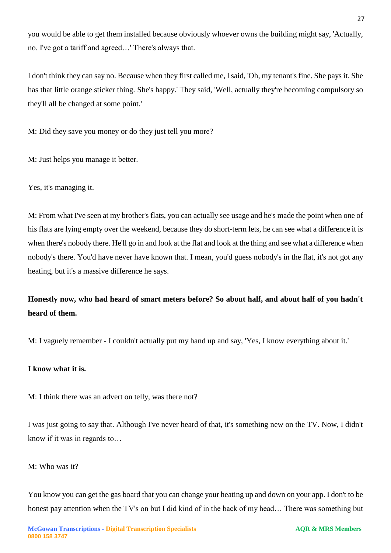you would be able to get them installed because obviously whoever owns the building might say, 'Actually, no. I've got a tariff and agreed…' There's always that.

I don't think they can say no. Because when they first called me, I said, 'Oh, my tenant's fine. She pays it. She has that little orange sticker thing. She's happy.' They said, 'Well, actually they're becoming compulsory so they'll all be changed at some point.'

M: Did they save you money or do they just tell you more?

M: Just helps you manage it better.

Yes, it's managing it.

M: From what I've seen at my brother's flats, you can actually see usage and he's made the point when one of his flats are lying empty over the weekend, because they do short-term lets, he can see what a difference it is when there's nobody there. He'll go in and look at the flat and look at the thing and see what a difference when nobody's there. You'd have never have known that. I mean, you'd guess nobody's in the flat, it's not got any heating, but it's a massive difference he says.

# **Honestly now, who had heard of smart meters before? So about half, and about half of you hadn't heard of them.**

M: I vaguely remember - I couldn't actually put my hand up and say, 'Yes, I know everything about it.'

# **I know what it is.**

M: I think there was an advert on telly, was there not?

I was just going to say that. Although I've never heard of that, it's something new on the TV. Now, I didn't know if it was in regards to…

# M: Who was it?

You know you can get the gas board that you can change your heating up and down on your app. I don't to be honest pay attention when the TV's on but I did kind of in the back of my head… There was something but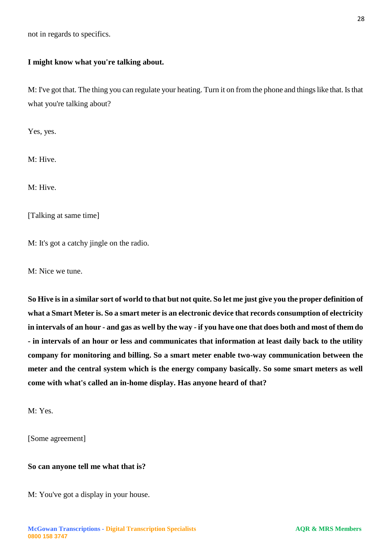not in regards to specifics.

## **I might know what you're talking about.**

M: I've got that. The thing you can regulate your heating. Turn it on from the phone and things like that. Is that what you're talking about?

Yes, yes.

M: Hive.

M: Hive.

[Talking at same time]

M: It's got a catchy jingle on the radio.

M: Nice we tune.

**So Hive is in a similar sort of world to that but not quite. So let me just give you the proper definition of what a Smart Meter is. So a smart meter is an electronic device that records consumption of electricity in intervals of an hour - and gas as well by the way - if you have one that does both and most of them do - in intervals of an hour or less and communicates that information at least daily back to the utility company for monitoring and billing. So a smart meter enable two-way communication between the meter and the central system which is the energy company basically. So some smart meters as well come with what's called an in-home display. Has anyone heard of that?** 

M: Yes.

[Some agreement]

#### **So can anyone tell me what that is?**

M: You've got a display in your house.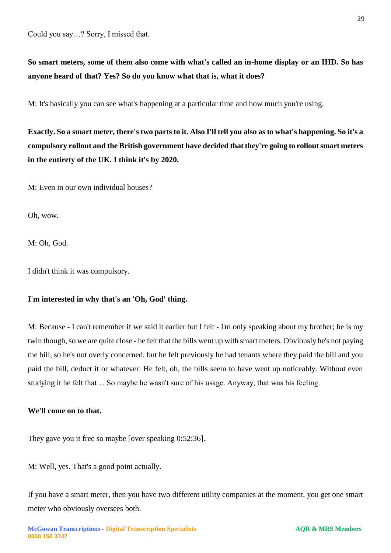Could you say…? Sorry, I missed that.

**So smart meters, some of them also come with what's called an in-home display or an IHD. So has anyone heard of that? Yes? So do you know what that is, what it does?** 

M: It's basically you can see what's happening at a particular time and how much you're using.

**Exactly. So a smart meter, there's two parts to it. Also I'll tell you also as to what's happening. So it's a compulsory rollout and the British government have decided that they're going to rollout smart meters in the entirety of the UK. I think it's by 2020.** 

M: Even in our own individual houses?

Oh, wow.

M: Oh, God.

I didn't think it was compulsory.

# **I'm interested in why that's an 'Oh, God' thing.**

M: Because - I can't remember if we said it earlier but I felt - I'm only speaking about my brother; he is my twin though, so we are quite close - he felt that the bills went up with smart meters. Obviously he's not paying the bill, so he's not overly concerned, but he felt previously he had tenants where they paid the bill and you paid the bill, deduct it or whatever. He felt, oh, the bills seem to have went up noticeably. Without even studying it he felt that… So maybe he wasn't sure of his usage. Anyway, that was his feeling.

## **We'll come on to that.**

They gave you it free so maybe [over speaking 0:52:36].

M: Well, yes. That's a good point actually.

If you have a smart meter, then you have two different utility companies at the moment, you get one smart meter who obviously oversees both.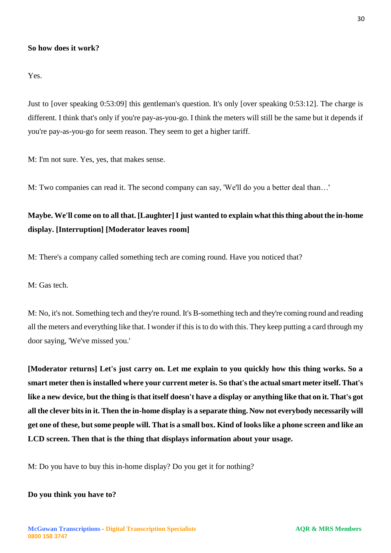#### **So how does it work?**

Yes.

Just to [over speaking 0:53:09] this gentleman's question. It's only [over speaking 0:53:12]. The charge is different. I think that's only if you're pay-as-you-go. I think the meters will still be the same but it depends if you're pay-as-you-go for seem reason. They seem to get a higher tariff.

M: I'm not sure. Yes, yes, that makes sense.

M: Two companies can read it. The second company can say, 'We'll do you a better deal than…'

# **Maybe. We'll come on to all that. [Laughter] I just wanted to explain what this thing about the in-home display. [Interruption] [Moderator leaves room]**

M: There's a company called something tech are coming round. Have you noticed that?

M: Gas tech.

M: No, it's not. Something tech and they're round. It's B-something tech and they're coming round and reading all the meters and everything like that. I wonder if this is to do with this. They keep putting a card through my door saying, 'We've missed you.'

**[Moderator returns] Let's just carry on. Let me explain to you quickly how this thing works. So a smart meter then is installed where your current meter is. So that's the actual smart meter itself. That's like a new device, but the thing is that itself doesn't have a display or anything like that on it. That's got all the clever bits in it. Then the in-home display is a separate thing. Now not everybody necessarily will get one of these, but some people will. That is a small box. Kind of looks like a phone screen and like an LCD screen. Then that is the thing that displays information about your usage.** 

M: Do you have to buy this in-home display? Do you get it for nothing?

#### **Do you think you have to?**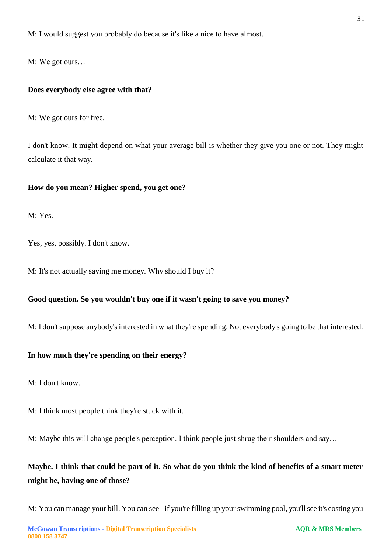M: I would suggest you probably do because it's like a nice to have almost.

M: We got ours…

## **Does everybody else agree with that?**

M: We got ours for free.

I don't know. It might depend on what your average bill is whether they give you one or not. They might calculate it that way.

#### **How do you mean? Higher spend, you get one?**

M: Yes.

Yes, yes, possibly. I don't know.

M: It's not actually saving me money. Why should I buy it?

## **Good question. So you wouldn't buy one if it wasn't going to save you money?**

M: I don't suppose anybody's interested in what they're spending. Not everybody's going to be that interested.

## **In how much they're spending on their energy?**

M: I don't know.

M: I think most people think they're stuck with it.

M: Maybe this will change people's perception. I think people just shrug their shoulders and say…

# **Maybe. I think that could be part of it. So what do you think the kind of benefits of a smart meter might be, having one of those?**

M: You can manage your bill. You can see - if you're filling up your swimming pool, you'll see it's costing you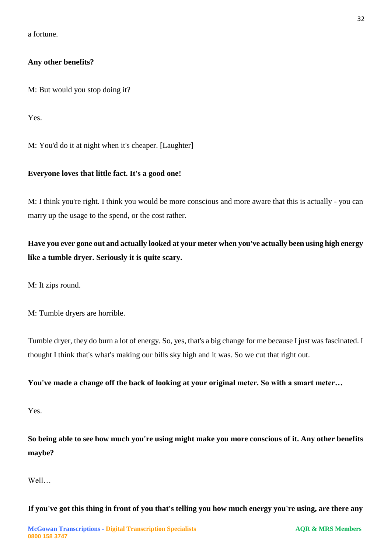a fortune.

## **Any other benefits?**

M: But would you stop doing it?

Yes.

M: You'd do it at night when it's cheaper. [Laughter]

## **Everyone loves that little fact. It's a good one!**

M: I think you're right. I think you would be more conscious and more aware that this is actually - you can marry up the usage to the spend, or the cost rather.

**Have you ever gone out and actually looked at your meter when you've actually been using high energy like a tumble dryer. Seriously it is quite scary.** 

M: It zips round.

M: Tumble dryers are horrible.

Tumble dryer, they do burn a lot of energy. So, yes, that's a big change for me because I just was fascinated. I thought I think that's what's making our bills sky high and it was. So we cut that right out.

**You've made a change off the back of looking at your original meter. So with a smart meter…**

Yes.

**So being able to see how much you're using might make you more conscious of it. Any other benefits maybe?** 

Well…

**If you've got this thing in front of you that's telling you how much energy you're using, are there any**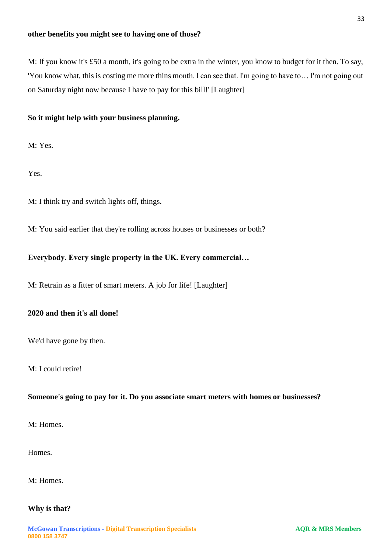M: If you know it's £50 a month, it's going to be extra in the winter, you know to budget for it then. To say, 'You know what, this is costing me more thins month. I can see that. I'm going to have to… I'm not going out on Saturday night now because I have to pay for this bill!' [Laughter]

# **So it might help with your business planning.**

M: Yes.

Yes.

M: I think try and switch lights off, things.

M: You said earlier that they're rolling across houses or businesses or both?

## **Everybody. Every single property in the UK. Every commercial…**

M: Retrain as a fitter of smart meters. A job for life! [Laughter]

# **2020 and then it's all done!**

We'd have gone by then.

M: I could retire!

## **Someone's going to pay for it. Do you associate smart meters with homes or businesses?**

M: Homes.

Homes.

M: Homes.

## **Why is that?**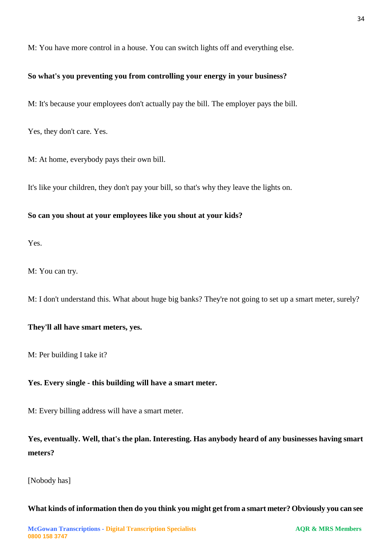M: You have more control in a house. You can switch lights off and everything else.

## **So what's you preventing you from controlling your energy in your business?**

M: It's because your employees don't actually pay the bill. The employer pays the bill.

Yes, they don't care. Yes.

M: At home, everybody pays their own bill.

It's like your children, they don't pay your bill, so that's why they leave the lights on.

### **So can you shout at your employees like you shout at your kids?**

Yes.

M: You can try.

M: I don't understand this. What about huge big banks? They're not going to set up a smart meter, surely?

#### **They'll all have smart meters, yes.**

M: Per building I take it?

## **Yes. Every single - this building will have a smart meter.**

M: Every billing address will have a smart meter.

**Yes, eventually. Well, that's the plan. Interesting. Has anybody heard of any businesses having smart meters?**

[Nobody has]

#### **What kinds of information then do you think you might get from a smart meter? Obviously you can see**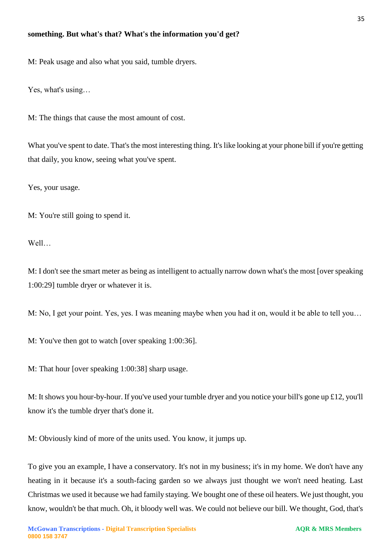#### **something. But what's that? What's the information you'd get?**

M: Peak usage and also what you said, tumble dryers.

Yes, what's using…

M: The things that cause the most amount of cost.

What you've spent to date. That's the most interesting thing. It's like looking at your phone bill if you're getting that daily, you know, seeing what you've spent.

Yes, your usage.

M: You're still going to spend it.

Well…

M: I don't see the smart meter as being as intelligent to actually narrow down what's the most [over speaking 1:00:29] tumble dryer or whatever it is.

M: No, I get your point. Yes, yes. I was meaning maybe when you had it on, would it be able to tell you…

M: You've then got to watch [over speaking 1:00:36].

M: That hour [over speaking 1:00:38] sharp usage.

M: It shows you hour-by-hour. If you've used your tumble dryer and you notice your bill's gone up £12, you'll know it's the tumble dryer that's done it.

M: Obviously kind of more of the units used. You know, it jumps up.

To give you an example, I have a conservatory. It's not in my business; it's in my home. We don't have any heating in it because it's a south-facing garden so we always just thought we won't need heating. Last Christmas we used it because we had family staying. We bought one of these oil heaters. We just thought, you know, wouldn't be that much. Oh, it bloody well was. We could not believe our bill. We thought, God, that's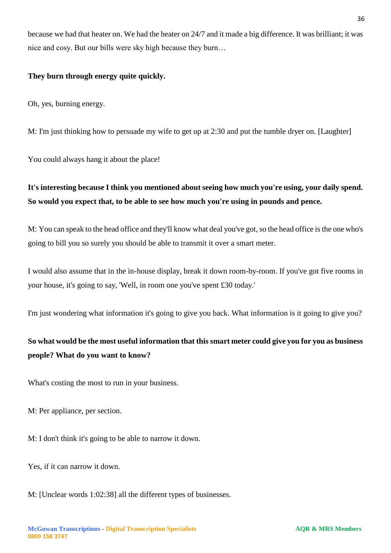because we had that heater on. We had the heater on 24/7 and it made a big difference. It was brilliant; it was nice and cosy. But our bills were sky high because they burn…

## **They burn through energy quite quickly.**

Oh, yes, burning energy.

M: I'm just thinking how to persuade my wife to get up at 2:30 and put the tumble dryer on. [Laughter]

You could always hang it about the place!

# **It's interesting because I think you mentioned about seeing how much you're using, your daily spend. So would you expect that, to be able to see how much you're using in pounds and pence.**

M: You can speak to the head office and they'll know what deal you've got, so the head office is the one who's going to bill you so surely you should be able to transmit it over a smart meter.

I would also assume that in the in-house display, break it down room-by-room. If you've got five rooms in your house, it's going to say, 'Well, in room one you've spent £30 today.'

I'm just wondering what information it's going to give you back. What information is it going to give you?

# **So what would be the most useful information that this smart meter could give you for you as business people? What do you want to know?**

What's costing the most to run in your business.

M: Per appliance, per section.

M: I don't think it's going to be able to narrow it down.

Yes, if it can narrow it down.

M: [Unclear words 1:02:38] all the different types of businesses.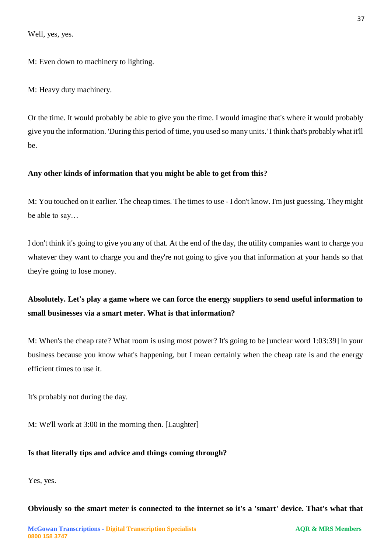Well, yes, yes.

M: Even down to machinery to lighting.

M: Heavy duty machinery.

Or the time. It would probably be able to give you the time. I would imagine that's where it would probably give you the information. 'During this period of time, you used so many units.' I think that's probably what it'll be.

## **Any other kinds of information that you might be able to get from this?**

M: You touched on it earlier. The cheap times. The times to use - I don't know. I'm just guessing. They might be able to say…

I don't think it's going to give you any of that. At the end of the day, the utility companies want to charge you whatever they want to charge you and they're not going to give you that information at your hands so that they're going to lose money.

# **Absolutely. Let's play a game where we can force the energy suppliers to send useful information to small businesses via a smart meter. What is that information?**

M: When's the cheap rate? What room is using most power? It's going to be [unclear word 1:03:39] in your business because you know what's happening, but I mean certainly when the cheap rate is and the energy efficient times to use it.

It's probably not during the day.

M: We'll work at 3:00 in the morning then. [Laughter]

# **Is that literally tips and advice and things coming through?**

Yes, yes.

## **Obviously so the smart meter is connected to the internet so it's a 'smart' device. That's what that**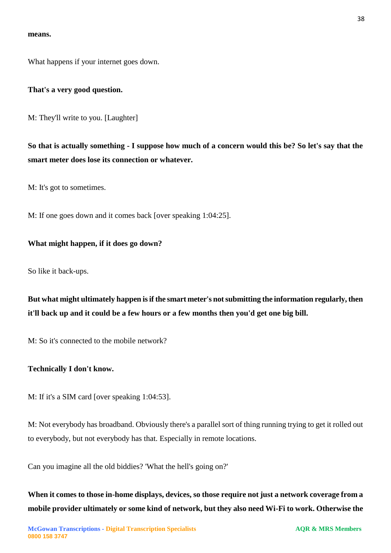#### **means.**

What happens if your internet goes down.

#### **That's a very good question.**

M: They'll write to you. [Laughter]

**So that is actually something - I suppose how much of a concern would this be? So let's say that the smart meter does lose its connection or whatever.** 

M: It's got to sometimes.

M: If one goes down and it comes back [over speaking 1:04:25].

#### **What might happen, if it does go down?**

So like it back-ups.

**But what might ultimately happen is if the smart meter's not submitting the information regularly, then it'll back up and it could be a few hours or a few months then you'd get one big bill.** 

M: So it's connected to the mobile network?

#### **Technically I don't know.**

M: If it's a SIM card [over speaking 1:04:53].

M: Not everybody has broadband. Obviously there's a parallel sort of thing running trying to get it rolled out to everybody, but not everybody has that. Especially in remote locations.

Can you imagine all the old biddies? 'What the hell's going on?'

**When it comes to those in-home displays, devices, so those require not just a network coverage from a mobile provider ultimately or some kind of network, but they also need Wi-Fi to work. Otherwise the**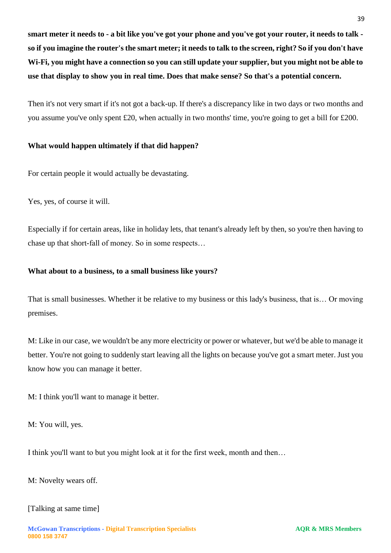**smart meter it needs to - a bit like you've got your phone and you've got your router, it needs to talk so if you imagine the router's the smart meter; it needs to talk to the screen, right? So if you don't have Wi-Fi, you might have a connection so you can still update your supplier, but you might not be able to use that display to show you in real time. Does that make sense? So that's a potential concern.** 

Then it's not very smart if it's not got a back-up. If there's a discrepancy like in two days or two months and you assume you've only spent £20, when actually in two months' time, you're going to get a bill for £200.

# **What would happen ultimately if that did happen?**

For certain people it would actually be devastating.

Yes, yes, of course it will.

Especially if for certain areas, like in holiday lets, that tenant's already left by then, so you're then having to chase up that short-fall of money. So in some respects…

# **What about to a business, to a small business like yours?**

That is small businesses. Whether it be relative to my business or this lady's business, that is… Or moving premises.

M: Like in our case, we wouldn't be any more electricity or power or whatever, but we'd be able to manage it better. You're not going to suddenly start leaving all the lights on because you've got a smart meter. Just you know how you can manage it better.

M: I think you'll want to manage it better.

M: You will, yes.

I think you'll want to but you might look at it for the first week, month and then…

M: Novelty wears off.

# [Talking at same time]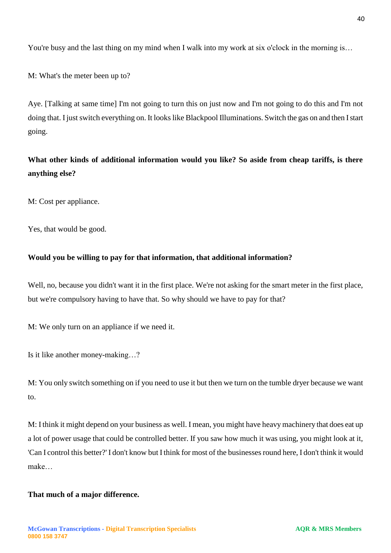You're busy and the last thing on my mind when I walk into my work at six o'clock in the morning is...

M: What's the meter been up to?

Aye. [Talking at same time] I'm not going to turn this on just now and I'm not going to do this and I'm not doing that. I just switch everything on. It looks like Blackpool Illuminations. Switch the gas on and then I start going.

**What other kinds of additional information would you like? So aside from cheap tariffs, is there anything else?** 

M: Cost per appliance.

Yes, that would be good.

#### **Would you be willing to pay for that information, that additional information?**

Well, no, because you didn't want it in the first place. We're not asking for the smart meter in the first place, but we're compulsory having to have that. So why should we have to pay for that?

M: We only turn on an appliance if we need it.

Is it like another money-making…?

M: You only switch something on if you need to use it but then we turn on the tumble dryer because we want to.

M: I think it might depend on your business as well. I mean, you might have heavy machinery that does eat up a lot of power usage that could be controlled better. If you saw how much it was using, you might look at it, 'Can I control this better?' I don't know but I think for most of the businesses round here, I don't think it would make…

#### **That much of a major difference.**

**0800 158 3747**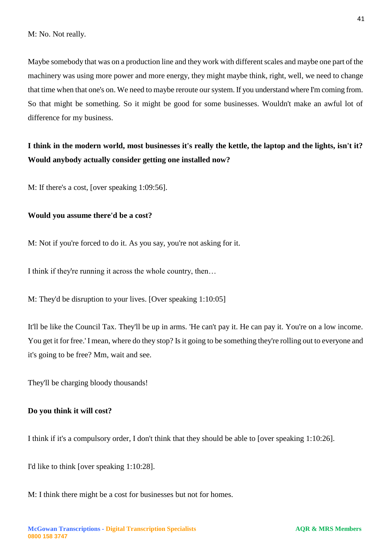Maybe somebody that was on a production line and they work with different scales and maybe one part of the machinery was using more power and more energy, they might maybe think, right, well, we need to change that time when that one's on. We need to maybe reroute our system. If you understand where I'm coming from. So that might be something. So it might be good for some businesses. Wouldn't make an awful lot of difference for my business.

# **I think in the modern world, most businesses it's really the kettle, the laptop and the lights, isn't it? Would anybody actually consider getting one installed now?**

M: If there's a cost, [over speaking 1:09:56].

#### **Would you assume there'd be a cost?**

M: Not if you're forced to do it. As you say, you're not asking for it.

I think if they're running it across the whole country, then…

M: They'd be disruption to your lives. [Over speaking 1:10:05]

It'll be like the Council Tax. They'll be up in arms. 'He can't pay it. He can pay it. You're on a low income. You get it for free.' I mean, where do they stop? Is it going to be something they're rolling out to everyone and it's going to be free? Mm, wait and see.

They'll be charging bloody thousands!

#### **Do you think it will cost?**

I think if it's a compulsory order, I don't think that they should be able to [over speaking 1:10:26].

I'd like to think [over speaking 1:10:28].

M: I think there might be a cost for businesses but not for homes.

41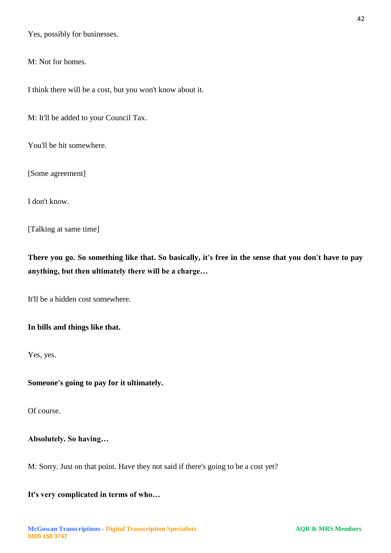Yes, possibly for businesses.

M: Not for homes.

I think there will be a cost, but you won't know about it.

M: It'll be added to your Council Tax.

You'll be hit somewhere.

[Some agreement]

I don't know.

[Talking at same time]

**There you go. So something like that. So basically, it's free in the sense that you don't have to pay anything, but then ultimately there will be a charge…**

It'll be a hidden cost somewhere.

## **In bills and things like that.**

Yes, yes.

#### **Someone's going to pay for it ultimately.**

Of course.

## **Absolutely. So having…**

M: Sorry. Just on that point. Have they not said if there's going to be a cost yet?

**It's very complicated in terms of who…**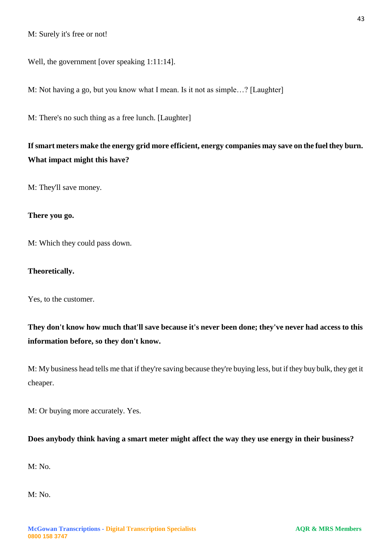Well, the government [over speaking 1:11:14].

M: Not having a go, but you know what I mean. Is it not as simple…? [Laughter]

M: There's no such thing as a free lunch. [Laughter]

# **If smart meters make the energy grid more efficient, energy companies may save on the fuel they burn. What impact might this have?**

M: They'll save money.

### **There you go.**

M: Which they could pass down.

#### **Theoretically.**

Yes, to the customer.

# **They don't know how much that'll save because it's never been done; they've never had access to this information before, so they don't know.**

M: My business head tells me that if they're saving because they're buying less, but if they buy bulk, they get it cheaper.

M: Or buying more accurately. Yes.

## **Does anybody think having a smart meter might affect the way they use energy in their business?**

M: No.

M: No.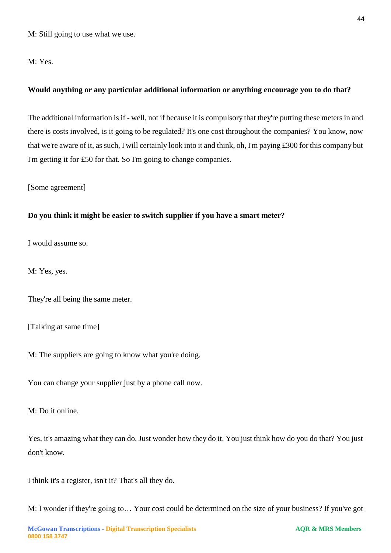M: Still going to use what we use.

M: Yes.

# **Would anything or any particular additional information or anything encourage you to do that?**

The additional information is if - well, not if because it is compulsory that they're putting these meters in and there is costs involved, is it going to be regulated? It's one cost throughout the companies? You know, now that we're aware of it, as such, I will certainly look into it and think, oh, I'm paying £300 for this company but I'm getting it for £50 for that. So I'm going to change companies.

[Some agreement]

## **Do you think it might be easier to switch supplier if you have a smart meter?**

I would assume so.

M: Yes, yes.

They're all being the same meter.

[Talking at same time]

M: The suppliers are going to know what you're doing.

You can change your supplier just by a phone call now.

M: Do it online.

Yes, it's amazing what they can do. Just wonder how they do it. You just think how do you do that? You just don't know.

I think it's a register, isn't it? That's all they do.

M: I wonder if they're going to… Your cost could be determined on the size of your business? If you've got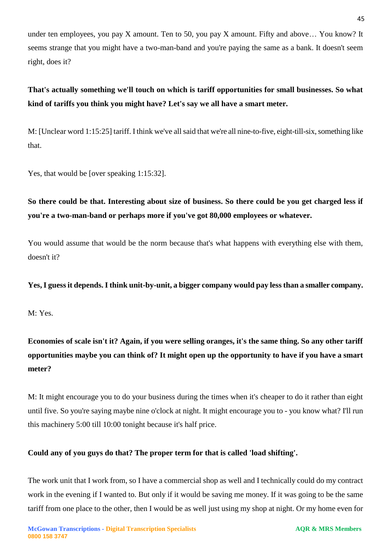under ten employees, you pay X amount. Ten to 50, you pay X amount. Fifty and above… You know? It seems strange that you might have a two-man-band and you're paying the same as a bank. It doesn't seem right, does it?

# **That's actually something we'll touch on which is tariff opportunities for small businesses. So what kind of tariffs you think you might have? Let's say we all have a smart meter.**

M: [Unclear word 1:15:25] tariff. I think we've all said that we're all nine-to-five, eight-till-six, something like that.

Yes, that would be [over speaking 1:15:32].

# **So there could be that. Interesting about size of business. So there could be you get charged less if you're a two-man-band or perhaps more if you've got 80,000 employees or whatever.**

You would assume that would be the norm because that's what happens with everything else with them, doesn't it?

# **Yes, I guess it depends. I think unit-by-unit, a bigger company would pay less than a smaller company.**

M: Yes.

**Economies of scale isn't it? Again, if you were selling oranges, it's the same thing. So any other tariff opportunities maybe you can think of? It might open up the opportunity to have if you have a smart meter?** 

M: It might encourage you to do your business during the times when it's cheaper to do it rather than eight until five. So you're saying maybe nine o'clock at night. It might encourage you to - you know what? I'll run this machinery 5:00 till 10:00 tonight because it's half price.

# **Could any of you guys do that? The proper term for that is called 'load shifting'.**

The work unit that I work from, so I have a commercial shop as well and I technically could do my contract work in the evening if I wanted to. But only if it would be saving me money. If it was going to be the same tariff from one place to the other, then I would be as well just using my shop at night. Or my home even for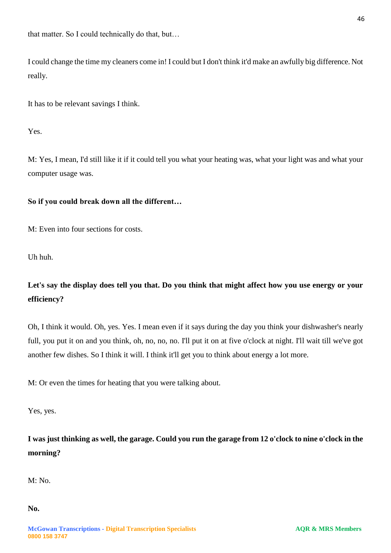I could change the time my cleaners come in! I could but I don't think it'd make an awfully big difference. Not really.

It has to be relevant savings I think.

Yes.

M: Yes, I mean, I'd still like it if it could tell you what your heating was, what your light was and what your computer usage was.

# **So if you could break down all the different…**

M: Even into four sections for costs.

Uh huh.

# **Let's say the display does tell you that. Do you think that might affect how you use energy or your efficiency?**

Oh, I think it would. Oh, yes. Yes. I mean even if it says during the day you think your dishwasher's nearly full, you put it on and you think, oh, no, no, no. I'll put it on at five o'clock at night. I'll wait till we've got another few dishes. So I think it will. I think it'll get you to think about energy a lot more.

M: Or even the times for heating that you were talking about.

Yes, yes.

**I was just thinking as well, the garage. Could you run the garage from 12 o'clock to nine o'clock in the morning?** 

M: No.

**No.**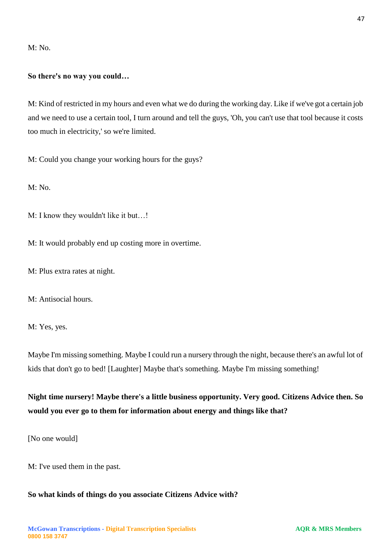M: No.

# **So there's no way you could…**

M: Kind of restricted in my hours and even what we do during the working day. Like if we've got a certain job and we need to use a certain tool, I turn around and tell the guys, 'Oh, you can't use that tool because it costs too much in electricity,' so we're limited.

M: Could you change your working hours for the guys?

M: No.

M: I know they wouldn't like it but...!

M: It would probably end up costing more in overtime.

M: Plus extra rates at night.

M: Antisocial hours.

M: Yes, yes.

Maybe I'm missing something. Maybe I could run a nursery through the night, because there's an awful lot of kids that don't go to bed! [Laughter] Maybe that's something. Maybe I'm missing something!

**Night time nursery! Maybe there's a little business opportunity. Very good. Citizens Advice then. So would you ever go to them for information about energy and things like that?** 

[No one would]

M: I've used them in the past.

## **So what kinds of things do you associate Citizens Advice with?**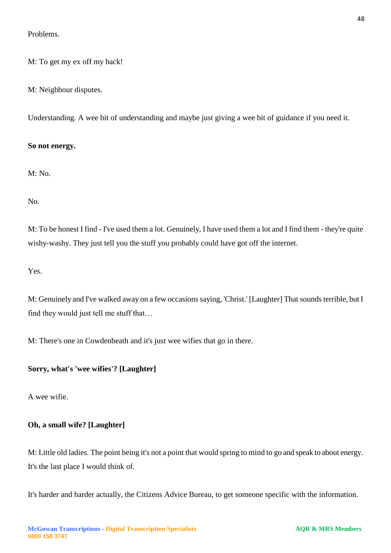Problems.

M: To get my ex off my back!

M: Neighbour disputes.

Understanding. A wee bit of understanding and maybe just giving a wee bit of guidance if you need it.

## **So not energy.**

M: No.

No.

M: To be honest I find - I've used them a lot. Genuinely, I have used them a lot and I find them - they're quite wishy-washy. They just tell you the stuff you probably could have got off the internet.

Yes.

M: Genuinely and I've walked away on a few occasions saying, 'Christ.' [Laughter] That sounds terrible, but I find they would just tell me stuff that…

M: There's one in Cowdenbeath and it's just wee wifies that go in there.

# **Sorry, what's 'wee wifies'? [Laughter]**

A wee wifie.

# **Oh, a small wife? [Laughter]**

M: Little old ladies. The point being it's not a point that would spring to mind to go and speak to about energy. It's the last place I would think of.

It's harder and harder actually, the Citizens Advice Bureau, to get someone specific with the information.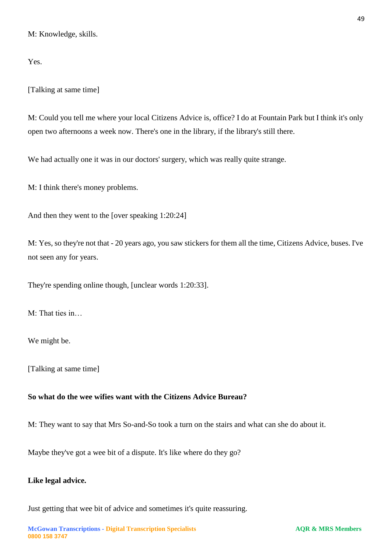M: Knowledge, skills.

Yes.

[Talking at same time]

M: Could you tell me where your local Citizens Advice is, office? I do at Fountain Park but I think it's only open two afternoons a week now. There's one in the library, if the library's still there.

We had actually one it was in our doctors' surgery, which was really quite strange.

M: I think there's money problems.

And then they went to the [over speaking 1:20:24]

M: Yes, so they're not that - 20 years ago, you saw stickers for them all the time, Citizens Advice, buses. I've not seen any for years.

They're spending online though, [unclear words 1:20:33].

M: That ties in…

We might be.

[Talking at same time]

## **So what do the wee wifies want with the Citizens Advice Bureau?**

M: They want to say that Mrs So-and-So took a turn on the stairs and what can she do about it.

Maybe they've got a wee bit of a dispute. It's like where do they go?

### **Like legal advice.**

Just getting that wee bit of advice and sometimes it's quite reassuring.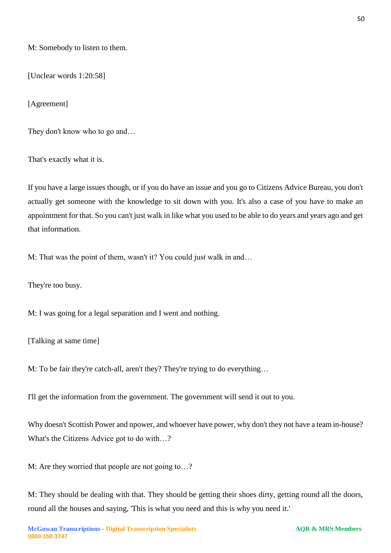M: Somebody to listen to them.

[Unclear words 1:20:58]

[Agreement]

They don't know who to go and...

That's exactly what it is.

If you have a large issues though, or if you do have an issue and you go to Citizens Advice Bureau, you don't actually get someone with the knowledge to sit down with you. It's also a case of you have to make an appointment for that. So you can't just walk in like what you used to be able to do years and years ago and get that information.

M: That was the point of them, wasn't it? You could just walk in and…

They're too busy.

M: I was going for a legal separation and I went and nothing.

[Talking at same time]

M: To be fair they're catch-all, aren't they? They're trying to do everything…

I'll get the information from the government. The government will send it out to you.

Why doesn't Scottish Power and npower, and whoever have power, why don't they not have a team in-house? What's the Citizens Advice got to do with…?

M: Are they worried that people are not going to…?

M: They should be dealing with that. They should be getting their shoes dirty, getting round all the doors, round all the houses and saying, 'This is what you need and this is why you need it.'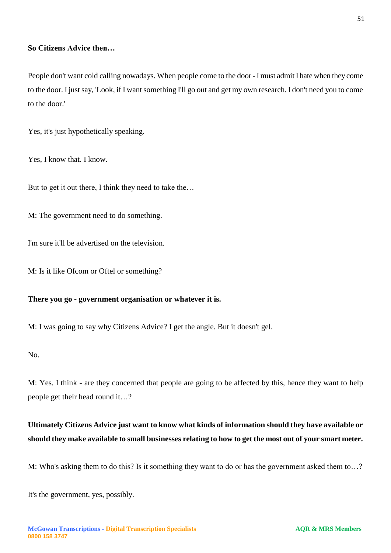## **So Citizens Advice then…**

People don't want cold calling nowadays. When people come to the door - I must admit I hate when they come to the door. I just say, 'Look, if I want something I'll go out and get my own research. I don't need you to come to the door.'

Yes, it's just hypothetically speaking.

Yes, I know that. I know.

But to get it out there, I think they need to take the...

M: The government need to do something.

I'm sure it'll be advertised on the television.

M: Is it like Ofcom or Oftel or something?

## **There you go - government organisation or whatever it is.**

M: I was going to say why Citizens Advice? I get the angle. But it doesn't gel.

No.

M: Yes. I think - are they concerned that people are going to be affected by this, hence they want to help people get their head round it…?

# **Ultimately Citizens Advice just want to know what kinds of information should they have available or should they make available to small businesses relating to how to get the most out of your smart meter.**

M: Who's asking them to do this? Is it something they want to do or has the government asked them to…?

It's the government, yes, possibly.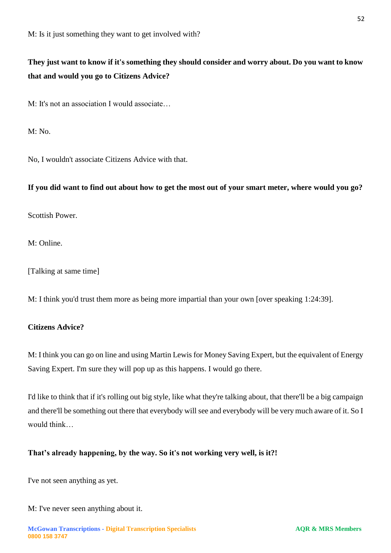# **They just want to know if it's something they should consider and worry about. Do you want to know that and would you go to Citizens Advice?**

M: It's not an association I would associate…

 $M: No.$ 

No, I wouldn't associate Citizens Advice with that.

## **If you did want to find out about how to get the most out of your smart meter, where would you go?**

Scottish Power.

M: Online.

[Talking at same time]

M: I think you'd trust them more as being more impartial than your own [over speaking 1:24:39].

# **Citizens Advice?**

M: I think you can go on line and using Martin Lewis for Money Saving Expert, but the equivalent of Energy Saving Expert. I'm sure they will pop up as this happens. I would go there.

I'd like to think that if it's rolling out big style, like what they're talking about, that there'll be a big campaign and there'll be something out there that everybody will see and everybody will be very much aware of it. So I would think

## **That's already happening, by the way. So it's not working very well, is it?!**

I've not seen anything as yet.

M: I've never seen anything about it.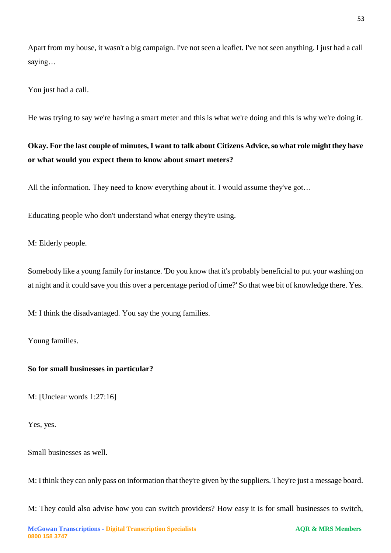Apart from my house, it wasn't a big campaign. I've not seen a leaflet. I've not seen anything. I just had a call saying…

You just had a call.

He was trying to say we're having a smart meter and this is what we're doing and this is why we're doing it.

# **Okay. For the last couple of minutes, I want to talk about Citizens Advice, so what role might they have or what would you expect them to know about smart meters?**

All the information. They need to know everything about it. I would assume they've got...

Educating people who don't understand what energy they're using.

M: Elderly people.

Somebody like a young family for instance. 'Do you know that it's probably beneficial to put your washing on at night and it could save you this over a percentage period of time?' So that wee bit of knowledge there. Yes.

M: I think the disadvantaged. You say the young families.

Young families.

## **So for small businesses in particular?**

M: [Unclear words 1:27:16]

Yes, yes.

Small businesses as well.

M: I think they can only pass on information that they're given by the suppliers. They're just a message board.

M: They could also advise how you can switch providers? How easy it is for small businesses to switch,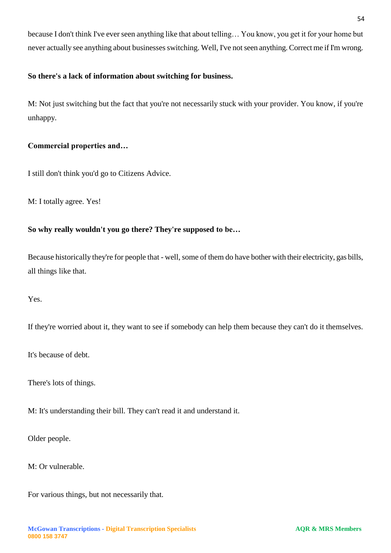because I don't think I've ever seen anything like that about telling… You know, you get it for your home but never actually see anything about businessesswitching. Well, I've not seen anything. Correct me if I'm wrong.

# **So there's a lack of information about switching for business.**

M: Not just switching but the fact that you're not necessarily stuck with your provider. You know, if you're unhappy.

# **Commercial properties and…**

I still don't think you'd go to Citizens Advice.

M: I totally agree. Yes!

# **So why really wouldn't you go there? They're supposed to be…**

Because historically they're for people that - well, some of them do have bother with their electricity, gas bills, all things like that.

Yes.

If they're worried about it, they want to see if somebody can help them because they can't do it themselves.

It's because of debt.

There's lots of things.

M: It's understanding their bill. They can't read it and understand it.

Older people.

M: Or vulnerable.

For various things, but not necessarily that.